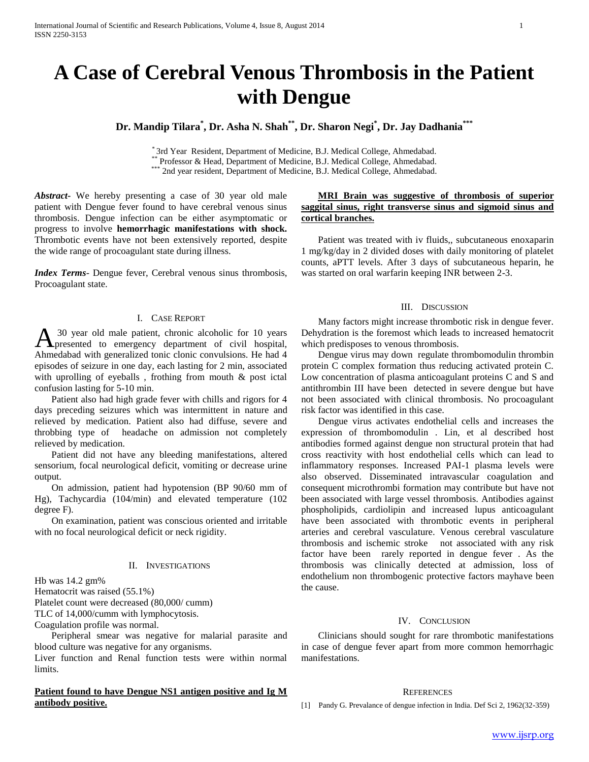# **A Case of Cerebral Venous Thrombosis in the Patient with Dengue**

**Dr. Mandip Tilara\* , Dr. Asha N. Shah\*\* , Dr. Sharon Negi\* , Dr. Jay Dadhania\*\*\***

\* 3rd Year Resident, Department of Medicine, B.J. Medical College, Ahmedabad.

Professor & Head, Department of Medicine, B.J. Medical College, Ahmedabad.

\*\*\* 2nd year resident, Department of Medicine, B.J. Medical College, Ahmedabad.

*Abstract***-** We hereby presenting a case of 30 year old male patient with Dengue fever found to have cerebral venous sinus thrombosis. Dengue infection can be either asymptomatic or progress to involve **hemorrhagic manifestations with shock.**  Thrombotic events have not been extensively reported, despite the wide range of procoagulant state during illness.

*Index Terms*- Dengue fever, Cerebral venous sinus thrombosis, Procoagulant state.

## I. CASE REPORT

30 year old male patient, chronic alcoholic for 10 years A <sup>30</sup> year old male patient, chronic alcoholic for 10 years<br>presented to emergency department of civil hospital, Ahmedabad with generalized tonic clonic convulsions. He had 4 episodes of seizure in one day, each lasting for 2 min, associated with uprolling of eyeballs, frothing from mouth & post ictal confusion lasting for 5-10 min.

 Patient also had high grade fever with chills and rigors for 4 days preceding seizures which was intermittent in nature and relieved by medication. Patient also had diffuse, severe and throbbing type of headache on admission not completely relieved by medication.

 Patient did not have any bleeding manifestations, altered sensorium, focal neurological deficit, vomiting or decrease urine output.

 On admission, patient had hypotension (BP 90/60 mm of Hg), Tachycardia (104/min) and elevated temperature (102 degree F).

 On examination, patient was conscious oriented and irritable with no focal neurological deficit or neck rigidity.

#### II. INVESTIGATIONS

Hb was 14.2 gm%

Hematocrit was raised (55.1%)

Platelet count were decreased (80,000/ cumm)

TLC of 14,000/cumm with lymphocytosis.

Coagulation profile was normal.

 Peripheral smear was negative for malarial parasite and blood culture was negative for any organisms.

Liver function and Renal function tests were within normal limits.

## **Patient found to have Dengue NS1 antigen positive and Ig M antibody positive.**

## **MRI Brain was suggestive of thrombosis of superior saggital sinus, right transverse sinus and sigmoid sinus and cortical branches.**

 Patient was treated with iv fluids,, subcutaneous enoxaparin 1 mg/kg/day in 2 divided doses with daily monitoring of platelet counts, aPTT levels. After 3 days of subcutaneous heparin, he was started on oral warfarin keeping INR between 2-3.

## III. DISCUSSION

 Many factors might increase thrombotic risk in dengue fever. Dehydration is the foremost which leads to increased hematocrit which predisposes to venous thrombosis.

 Dengue virus may down regulate thrombomodulin thrombin protein C complex formation thus reducing activated protein C. Low concentration of plasma anticoagulant proteins C and S and antithrombin III have been detected in severe dengue but have not been associated with clinical thrombosis. No procoagulant risk factor was identified in this case.

 Dengue virus activates endothelial cells and increases the expression of thrombomodulin . Lin, et al described host antibodies formed against dengue non structural protein that had cross reactivity with host endothelial cells which can lead to inflammatory responses. Increased PAI-1 plasma levels were also observed. Disseminated intravascular coagulation and consequent microthrombi formation may contribute but have not been associated with large vessel thrombosis. Antibodies against phospholipids, cardiolipin and increased lupus anticoagulant have been associated with thrombotic events in peripheral arteries and cerebral vasculature. Venous cerebral vasculature thrombosis and ischemic stroke not associated with any risk factor have been rarely reported in dengue fever . As the thrombosis was clinically detected at admission, loss of endothelium non thrombogenic protective factors mayhave been the cause.

### IV. CONCLUSION

 Clinicians should sought for rare thrombotic manifestations in case of dengue fever apart from more common hemorrhagic manifestations.

#### **REFERENCES**

[1] Pandy G. Prevalance of dengue infection in India. Def Sci 2, 1962(32-359)